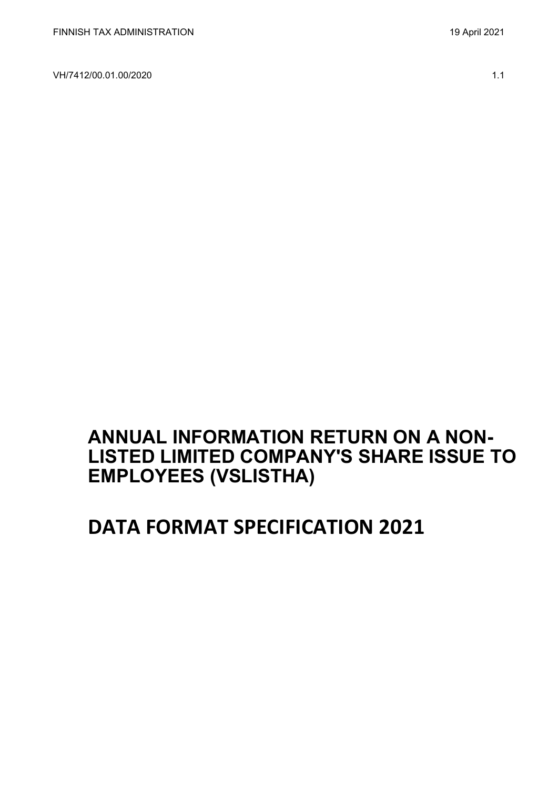VH/7412/00.01.00/2020 1.1

**ANNUAL INFORMATION RETURN ON A NON-LISTED LIMITED COMPANY'S SHARE ISSUE TO** 

**DATA FORMAT SPECIFICATION 2021**

**EMPLOYEES (VSLISTHA)**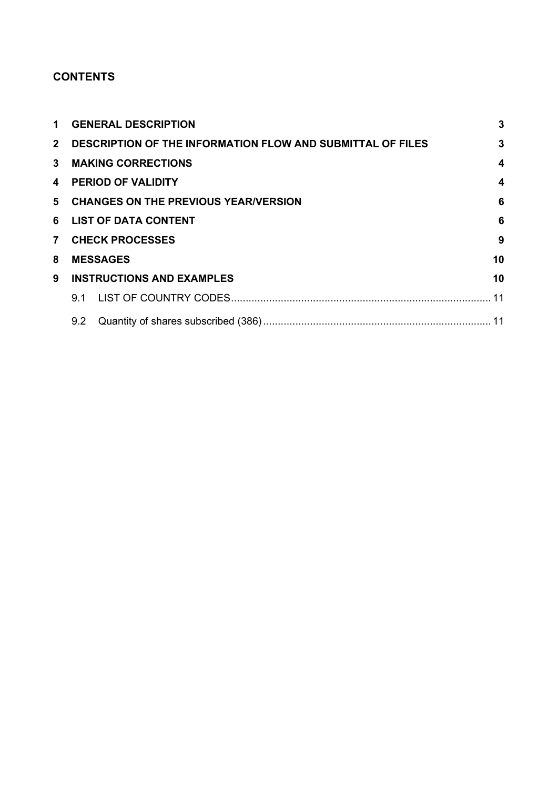## **CONTENTS**

| $\mathbf 1$    | 3<br><b>GENERAL DESCRIPTION</b>                                   |                                        |                  |  |  |  |  |  |
|----------------|-------------------------------------------------------------------|----------------------------------------|------------------|--|--|--|--|--|
|                | 2 DESCRIPTION OF THE INFORMATION FLOW AND SUBMITTAL OF FILES<br>3 |                                        |                  |  |  |  |  |  |
|                |                                                                   | 3 MAKING CORRECTIONS                   | $\boldsymbol{4}$ |  |  |  |  |  |
|                |                                                                   | 4 PERIOD OF VALIDITY                   | $\boldsymbol{4}$ |  |  |  |  |  |
|                |                                                                   | 5 CHANGES ON THE PREVIOUS YEAR/VERSION | $6\phantom{1}6$  |  |  |  |  |  |
|                | 6<br>6 LIST OF DATA CONTENT                                       |                                        |                  |  |  |  |  |  |
| 7 <sup>7</sup> | 9<br><b>CHECK PROCESSES</b>                                       |                                        |                  |  |  |  |  |  |
| 8              | 10<br><b>MESSAGES</b>                                             |                                        |                  |  |  |  |  |  |
| 9              |                                                                   | <b>INSTRUCTIONS AND EXAMPLES</b>       | 10               |  |  |  |  |  |
|                |                                                                   |                                        |                  |  |  |  |  |  |
|                |                                                                   |                                        |                  |  |  |  |  |  |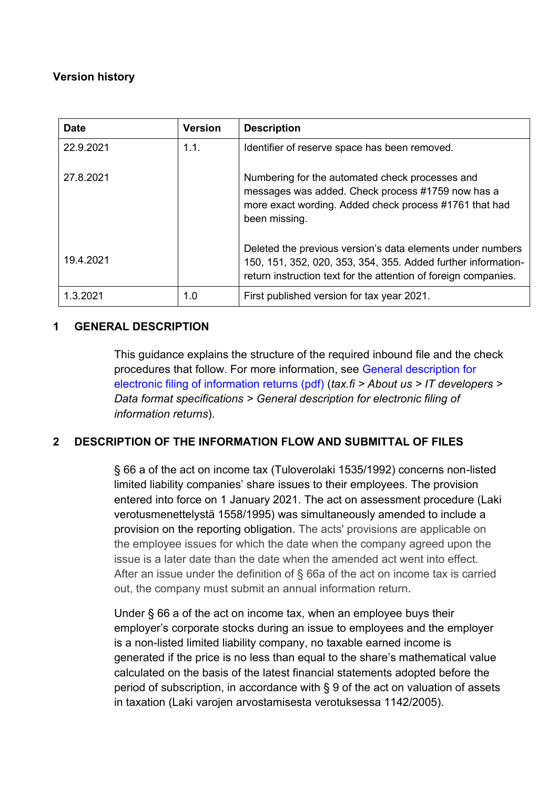## **Version history**

| <b>Date</b> | <b>Version</b> | <b>Description</b>                                                                                                                                                                             |
|-------------|----------------|------------------------------------------------------------------------------------------------------------------------------------------------------------------------------------------------|
| 22.9.2021   | 1.1.           | Identifier of reserve space has been removed.                                                                                                                                                  |
| 27.8.2021   |                | Numbering for the automated check processes and<br>messages was added. Check process #1759 now has a<br>more exact wording. Added check process #1761 that had<br>been missing.                |
| 19.4.2021   |                | Deleted the previous version's data elements under numbers<br>150, 151, 352, 020, 353, 354, 355. Added further information-<br>return instruction text for the attention of foreign companies. |
| 1.3.2021    | 1.0            | First published version for tax year 2021.                                                                                                                                                     |

## <span id="page-2-0"></span>**1 GENERAL DESCRIPTION**

This guidance explains the structure of the required inbound file and the check procedures that follow. For more information, see [General description for](https://www.vero.fi/globalassets/tietoa-verohallinnosta/ohjelmistokehittajille/finnish-tax-administration_electronic-filing-of-information-returns-general-description.pdf)  [electronic filing of information returns \(pdf\)](https://www.vero.fi/globalassets/tietoa-verohallinnosta/ohjelmistokehittajille/finnish-tax-administration_electronic-filing-of-information-returns-general-description.pdf) (*tax.fi > About us > IT developers > Data format specifications > General description for electronic filing of information returns*).

## <span id="page-2-1"></span>**2 DESCRIPTION OF THE INFORMATION FLOW AND SUBMITTAL OF FILES**

§ 66 a of the act on income tax (Tuloverolaki 1535/1992) concerns non-listed limited liability companies' share issues to their employees. The provision entered into force on 1 January 2021. The act on assessment procedure (Laki verotusmenettelystä 1558/1995) was simultaneously amended to include a provision on the reporting obligation. The acts' provisions are applicable on the employee issues for which the date when the company agreed upon the issue is a later date than the date when the amended act went into effect. After an issue under the definition of § 66a of the act on income tax is carried out, the company must submit an annual information return.

Under § 66 a of the act on income tax, when an employee buys their employer's corporate stocks during an issue to employees and the employer is a non-listed limited liability company, no taxable earned income is generated if the price is no less than equal to the share's mathematical value calculated on the basis of the latest financial statements adopted before the period of subscription, in accordance with § 9 of the act on valuation of assets in taxation (Laki varojen arvostamisesta verotuksessa 1142/2005).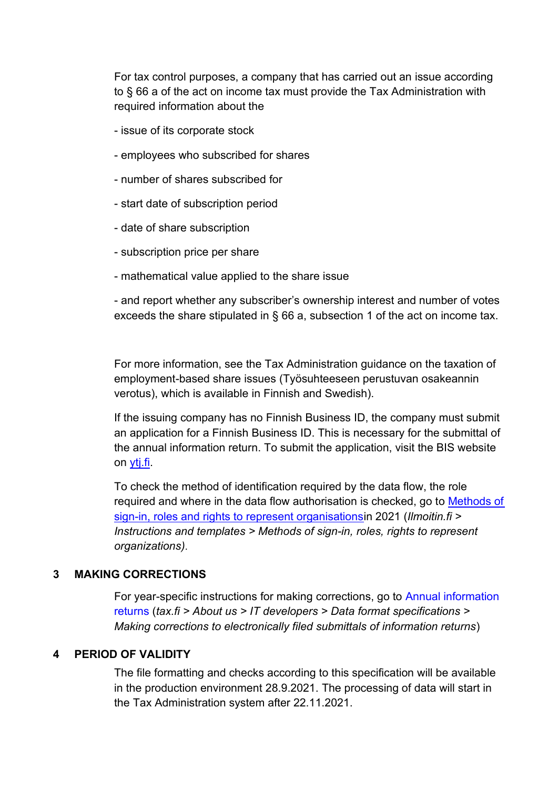For tax control purposes, a company that has carried out an issue according to § 66 a of the act on income tax must provide the Tax Administration with required information about the

- issue of its corporate stock
- employees who subscribed for shares
- number of shares subscribed for
- start date of subscription period
- date of share subscription
- subscription price per share
- mathematical value applied to the share issue

- and report whether any subscriber's ownership interest and number of votes exceeds the share stipulated in § 66 a, subsection 1 of the act on income tax.

For more information, see the Tax Administration guidance on the taxation of employment-based share issues (Työsuhteeseen perustuvan osakeannin verotus), which is available in Finnish and Swedish).

If the issuing company has no Finnish Business ID, the company must submit an application for a Finnish Business ID. This is necessary for the submittal of the annual information return. To submit the application, visit the BIS website on [ytj.fi.](https://www.ytj.fi/en/index/notifications/start-upnotifications/foreignbusiness.html)

To check the method of identification required by the data flow, the role required and where in the data flow authorisation is checked, go to [Methods of](https://www.ilmoitin.fi/webtamo/sivut/IlmoituslajiRoolit;jsessionid=BA90E3146CA0F08E9B93196B6DDF4E9F?kieli=en)  [sign-in, roles and rights to represent organisationsi](https://www.ilmoitin.fi/webtamo/sivut/IlmoituslajiRoolit;jsessionid=BA90E3146CA0F08E9B93196B6DDF4E9F?kieli=en)n 2021 (*[Ilmoitin.fi >](https://www.ilmoitin.fi/webtamo/sivut/IlmoituslajiRoolit?kieli=en)  [Instructions and templates > Methods of sign-in, roles, rights to represent](https://www.ilmoitin.fi/webtamo/sivut/IlmoituslajiRoolit?kieli=en)  [organizations\)](https://www.ilmoitin.fi/webtamo/sivut/IlmoituslajiRoolit?kieli=en)*.

#### <span id="page-3-0"></span>**3 MAKING CORRECTIONS**

For year-specific instructions for making corrections, go to [Annual information](https://www.vero.fi/en/About-us/it_developer/data-format-specifications/annual_information_returns__instruction/)  [returns](https://www.vero.fi/en/About-us/it_developer/data-format-specifications/annual_information_returns__instruction/) (*tax.fi > About us > IT developers > Data format specifications > Making corrections to electronically filed submittals of information returns*)

#### <span id="page-3-1"></span>**4 PERIOD OF VALIDITY**

The file formatting and checks according to this specification will be available in the production environment 28.9.2021. The processing of data will start in the Tax Administration system after 22.11.2021.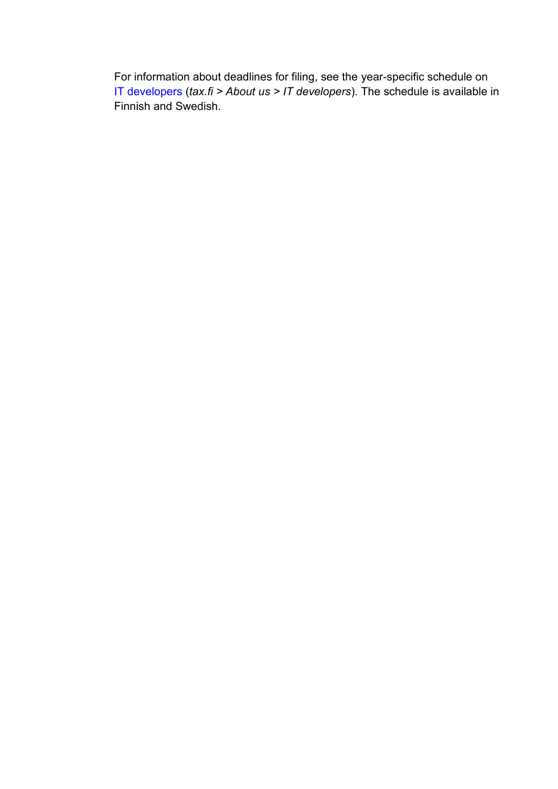For information about deadlines for filing, see the year-specific schedule on IT [developers \(](https://www.vero.fi/tietoa-verohallinnosta/kehittaja/)*tax.fi > About us > IT developers*). The schedule is available in Finnish and Swedish.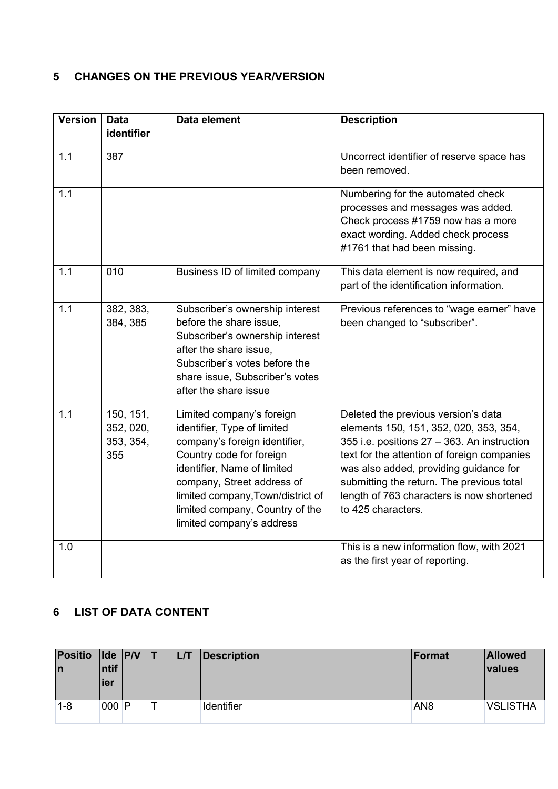# <span id="page-5-0"></span>**5 CHANGES ON THE PREVIOUS YEAR/VERSION**

| <b>Version</b> | <b>Data</b><br>identifier                  | Data element                                                                                                                                                                                                                                                                            | <b>Description</b>                                                                                                                                                                                                                                                                                                                    |
|----------------|--------------------------------------------|-----------------------------------------------------------------------------------------------------------------------------------------------------------------------------------------------------------------------------------------------------------------------------------------|---------------------------------------------------------------------------------------------------------------------------------------------------------------------------------------------------------------------------------------------------------------------------------------------------------------------------------------|
| 1.1            | 387                                        |                                                                                                                                                                                                                                                                                         | Uncorrect identifier of reserve space has<br>been removed.                                                                                                                                                                                                                                                                            |
| 1.1            |                                            |                                                                                                                                                                                                                                                                                         | Numbering for the automated check<br>processes and messages was added.<br>Check process #1759 now has a more<br>exact wording. Added check process<br>#1761 that had been missing.                                                                                                                                                    |
| 1.1            | 010                                        | Business ID of limited company                                                                                                                                                                                                                                                          | This data element is now required, and<br>part of the identification information.                                                                                                                                                                                                                                                     |
| 1.1            | 382, 383,<br>384, 385                      | Subscriber's ownership interest<br>before the share issue,<br>Subscriber's ownership interest<br>after the share issue,<br>Subscriber's votes before the<br>share issue, Subscriber's votes<br>after the share issue                                                                    | Previous references to "wage earner" have<br>been changed to "subscriber".                                                                                                                                                                                                                                                            |
| 1.1            | 150, 151,<br>352, 020,<br>353, 354,<br>355 | Limited company's foreign<br>identifier, Type of limited<br>company's foreign identifier,<br>Country code for foreign<br>identifier, Name of limited<br>company, Street address of<br>limited company, Town/district of<br>limited company, Country of the<br>limited company's address | Deleted the previous version's data<br>elements 150, 151, 352, 020, 353, 354,<br>355 i.e. positions 27 - 363. An instruction<br>text for the attention of foreign companies<br>was also added, providing guidance for<br>submitting the return. The previous total<br>length of 763 characters is now shortened<br>to 425 characters. |
| 1.0            |                                            |                                                                                                                                                                                                                                                                                         | This is a new information flow, with 2021<br>as the first year of reporting.                                                                                                                                                                                                                                                          |

# <span id="page-5-1"></span>**6 LIST OF DATA CONTENT**

| <b>Positio</b><br>In | Intif<br>lier | $ $ lde $ $ P/V | LL/T | Description       | Format          | <b>Allowed</b><br><i>values</i> |
|----------------------|---------------|-----------------|------|-------------------|-----------------|---------------------------------|
| $1 - 8$              | $000$ P       |                 |      | <b>Identifier</b> | AN <sub>8</sub> | <b>VSLISTHA</b>                 |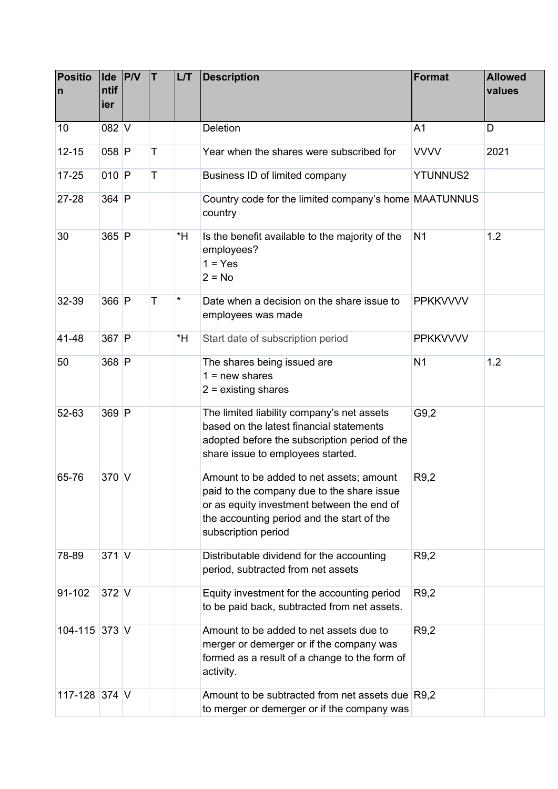| <b>Positio</b><br>n | ntif<br>ier | $\mathsf{Ide}$ $\mathsf{P} \mathsf{IV}$ | T | L/T | <b>Description</b>                                                                                                                                                                                        | Format          | <b>Allowed</b><br>values |
|---------------------|-------------|-----------------------------------------|---|-----|-----------------------------------------------------------------------------------------------------------------------------------------------------------------------------------------------------------|-----------------|--------------------------|
| 10                  | $082$ V     |                                         |   |     | <b>Deletion</b>                                                                                                                                                                                           | A <sub>1</sub>  | D                        |
| $12 - 15$           | 058 P       |                                         | T |     | Year when the shares were subscribed for                                                                                                                                                                  | <b>VVVV</b>     | 2021                     |
| $17 - 25$           | $010$ P     |                                         | T |     | Business ID of limited company                                                                                                                                                                            | <b>YTUNNUS2</b> |                          |
| 27-28               | $364$ P     |                                         |   |     | Country code for the limited company's home MAATUNNUS<br>country                                                                                                                                          |                 |                          |
| 30                  | $365$ P     |                                         |   | *H  | Is the benefit available to the majority of the<br>employees?<br>$1 = Yes$<br>$2 = No$                                                                                                                    | N <sub>1</sub>  | 1.2                      |
| 32-39               | 366 P       |                                         | Т | *   | Date when a decision on the share issue to<br>employees was made                                                                                                                                          | <b>PPKKVVVV</b> |                          |
| 41-48               | $367$ P     |                                         |   | *H  | Start date of subscription period                                                                                                                                                                         | <b>PPKKVVVV</b> |                          |
| 50                  | 368 P       |                                         |   |     | The shares being issued are<br>$1 = new shares$<br>$2 =$ existing shares                                                                                                                                  | N <sub>1</sub>  | 1.2                      |
| 52-63               | 369 P       |                                         |   |     | The limited liability company's net assets<br>based on the latest financial statements<br>adopted before the subscription period of the<br>share issue to employees started.                              | G9,2            |                          |
| 65-76               | $370$ V     |                                         |   |     | Amount to be added to net assets; amount<br>paid to the company due to the share issue<br>or as equity investment between the end of<br>the accounting period and the start of the<br>subscription period | R9,2            |                          |
| 78-89               | $371$ V     |                                         |   |     | Distributable dividend for the accounting<br>period, subtracted from net assets                                                                                                                           | R9,2            |                          |
| 91-102              | $372$ V     |                                         |   |     | Equity investment for the accounting period<br>to be paid back, subtracted from net assets.                                                                                                               | R9,2            |                          |
| 104-115 373 V       |             |                                         |   |     | Amount to be added to net assets due to<br>merger or demerger or if the company was<br>formed as a result of a change to the form of<br>activity.                                                         | R9,2            |                          |
| 117-128 374 V       |             |                                         |   |     | Amount to be subtracted from net assets due R9,2<br>to merger or demerger or if the company was                                                                                                           |                 |                          |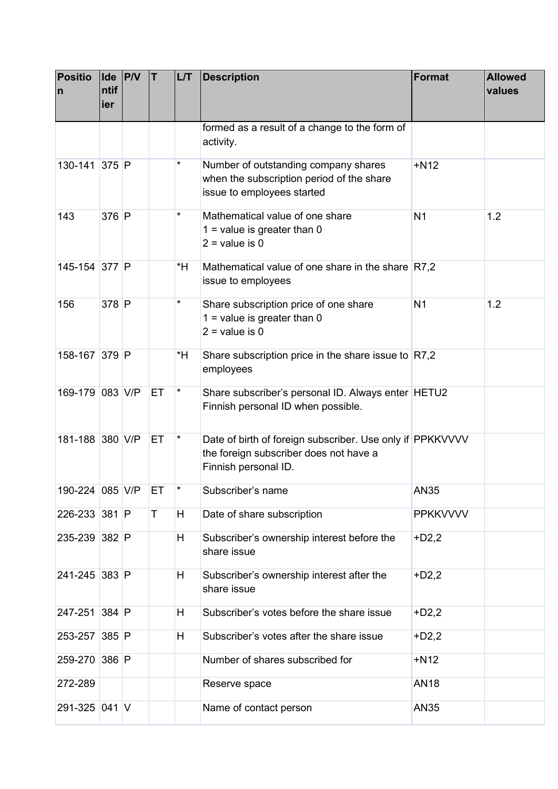| <b>Positio</b><br>n | Ide P/V<br>ntif<br>ier | İΤ | <b>L/T</b> | <b>Description</b>                                                                                                          | <b>Format</b>   | <b>Allowed</b><br>values |
|---------------------|------------------------|----|------------|-----------------------------------------------------------------------------------------------------------------------------|-----------------|--------------------------|
|                     |                        |    |            | formed as a result of a change to the form of<br>activity.                                                                  |                 |                          |
| 130-141 375 P       |                        |    | *          | Number of outstanding company shares<br>when the subscription period of the share<br>issue to employees started             | $+N12$          |                          |
| 143                 | 376 P                  |    | *          | Mathematical value of one share<br>$1 =$ value is greater than 0<br>$2 =$ value is 0                                        | N <sub>1</sub>  | 1.2                      |
| 145-154 377 P       |                        |    | *H         | Mathematical value of one share in the share R7,2<br>issue to employees                                                     |                 |                          |
| 156                 | 378 P                  |    | $^\star$   | Share subscription price of one share<br>$1 =$ value is greater than 0<br>$2 =$ value is 0                                  | N <sub>1</sub>  | 1.2                      |
| 158-167 379 P       |                        |    | *H         | Share subscription price in the share issue to $R7,2$<br>employees                                                          |                 |                          |
| 169-179 083 V/P     |                        | ET | $^\star$   | Share subscriber's personal ID. Always enter HETU2<br>Finnish personal ID when possible.                                    |                 |                          |
| 181-188 380 V/P     |                        | ET | $\star$    | Date of birth of foreign subscriber. Use only if PPKKVVVV<br>the foreign subscriber does not have a<br>Finnish personal ID. |                 |                          |
| 190-224 085 V/P     |                        | EТ |            | Subscriber's name                                                                                                           | <b>AN35</b>     |                          |
| 226-233 381 P       |                        | Τ  | H          | Date of share subscription                                                                                                  | <b>PPKKVVVV</b> |                          |
| 235-239 382 P       |                        |    | H          | Subscriber's ownership interest before the<br>share issue                                                                   | $+D2,2$         |                          |
| 241-245 383 P       |                        |    | H          | Subscriber's ownership interest after the<br>share issue                                                                    | $+D2,2$         |                          |
| 247-251 384 P       |                        |    | H          | Subscriber's votes before the share issue                                                                                   | $+D2,2$         |                          |
| 253-257 385 P       |                        |    | H          | Subscriber's votes after the share issue                                                                                    | $+D2,2$         |                          |
| 259-270 386 P       |                        |    |            | Number of shares subscribed for                                                                                             | $+N12$          |                          |
| 272-289             |                        |    |            | Reserve space                                                                                                               | <b>AN18</b>     |                          |
| 291-325 041 V       |                        |    |            | Name of contact person                                                                                                      | AN35            |                          |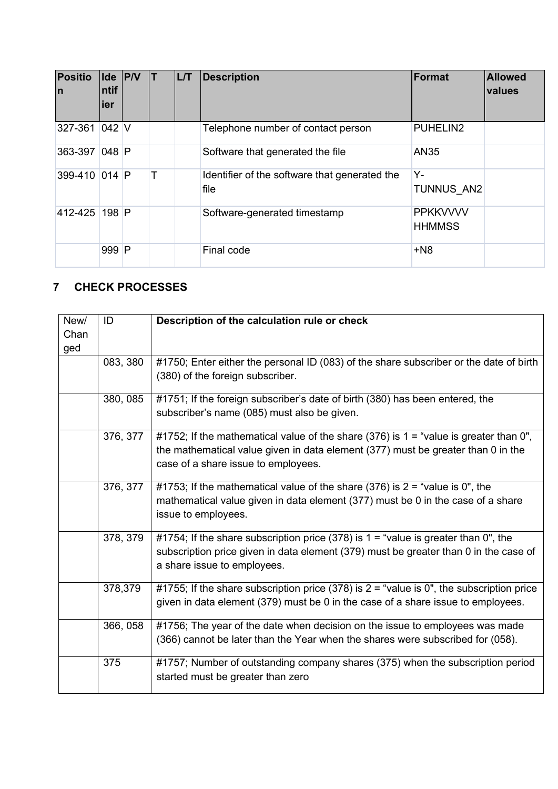| <b>Positio</b><br>$\mathsf{I}$ | ntif<br>ier | Ide P/V |   | L/T | <b>Description</b>                                    | <b>Format</b>                    | <b>Allowed</b><br>values |
|--------------------------------|-------------|---------|---|-----|-------------------------------------------------------|----------------------------------|--------------------------|
| 327-361                        | $042$ V     |         |   |     | Telephone number of contact person                    | PUHELIN2                         |                          |
| 363-397 048 P                  |             |         |   |     | Software that generated the file                      | AN35                             |                          |
| 399-410 014 P                  |             |         | т |     | Identifier of the software that generated the<br>file | Y-<br><b>TUNNUS AN2</b>          |                          |
| 412-425                        | 198 P       |         |   |     | Software-generated timestamp                          | <b>PPKKVVVV</b><br><b>HHMMSS</b> |                          |
|                                | 999         | P       |   |     | Final code                                            | $+N8$                            |                          |

# <span id="page-8-0"></span>**7 CHECK PROCESSES**

| New/ | ID       | Description of the calculation rule or check                                               |
|------|----------|--------------------------------------------------------------------------------------------|
| Chan |          |                                                                                            |
| ged  |          |                                                                                            |
|      | 083, 380 | #1750; Enter either the personal ID (083) of the share subscriber or the date of birth     |
|      |          | (380) of the foreign subscriber.                                                           |
|      | 380, 085 | #1751; If the foreign subscriber's date of birth (380) has been entered, the               |
|      |          | subscriber's name (085) must also be given.                                                |
|      | 376, 377 | #1752; If the mathematical value of the share (376) is $1 =$ "value is greater than 0",    |
|      |          | the mathematical value given in data element (377) must be greater than 0 in the           |
|      |          | case of a share issue to employees.                                                        |
|      | 376, 377 | #1753; If the mathematical value of the share (376) is $2 =$ "value is 0", the             |
|      |          | mathematical value given in data element (377) must be 0 in the case of a share            |
|      |          | issue to employees.                                                                        |
|      | 378, 379 | #1754; If the share subscription price (378) is $1 =$ "value is greater than 0", the       |
|      |          | subscription price given in data element (379) must be greater than 0 in the case of       |
|      |          | a share issue to employees.                                                                |
|      | 378,379  | #1755; If the share subscription price (378) is $2 =$ "value is 0", the subscription price |
|      |          | given in data element (379) must be 0 in the case of a share issue to employees.           |
|      | 366, 058 | #1756; The year of the date when decision on the issue to employees was made               |
|      |          | (366) cannot be later than the Year when the shares were subscribed for (058).             |
|      |          |                                                                                            |
|      | 375      | #1757; Number of outstanding company shares (375) when the subscription period             |
|      |          | started must be greater than zero                                                          |
|      |          |                                                                                            |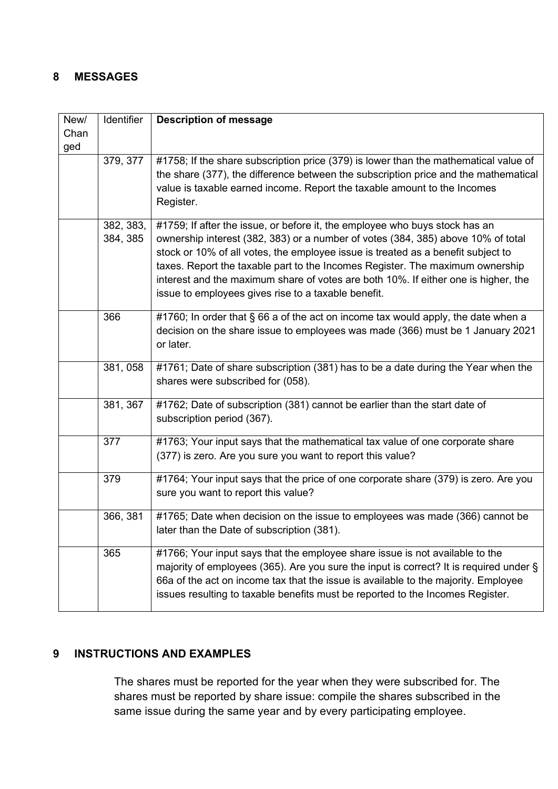### <span id="page-9-0"></span>**8 MESSAGES**

| New/<br>Chan | Identifier            | <b>Description of message</b>                                                                                                                                                                                                                                                                                                                                                                                                                                                     |
|--------------|-----------------------|-----------------------------------------------------------------------------------------------------------------------------------------------------------------------------------------------------------------------------------------------------------------------------------------------------------------------------------------------------------------------------------------------------------------------------------------------------------------------------------|
| ged          |                       |                                                                                                                                                                                                                                                                                                                                                                                                                                                                                   |
|              | 379, 377              | #1758; If the share subscription price (379) is lower than the mathematical value of<br>the share (377), the difference between the subscription price and the mathematical<br>value is taxable earned income. Report the taxable amount to the Incomes<br>Register.                                                                                                                                                                                                              |
|              | 382, 383,<br>384, 385 | #1759; If after the issue, or before it, the employee who buys stock has an<br>ownership interest (382, 383) or a number of votes (384, 385) above 10% of total<br>stock or 10% of all votes, the employee issue is treated as a benefit subject to<br>taxes. Report the taxable part to the Incomes Register. The maximum ownership<br>interest and the maximum share of votes are both 10%. If either one is higher, the<br>issue to employees gives rise to a taxable benefit. |
|              | 366                   | #1760; In order that § 66 a of the act on income tax would apply, the date when a<br>decision on the share issue to employees was made (366) must be 1 January 2021<br>or later.                                                                                                                                                                                                                                                                                                  |
|              | 381, 058              | #1761; Date of share subscription (381) has to be a date during the Year when the<br>shares were subscribed for (058).                                                                                                                                                                                                                                                                                                                                                            |
|              | 381, 367              | #1762; Date of subscription (381) cannot be earlier than the start date of<br>subscription period (367).                                                                                                                                                                                                                                                                                                                                                                          |
|              | 377                   | #1763; Your input says that the mathematical tax value of one corporate share<br>(377) is zero. Are you sure you want to report this value?                                                                                                                                                                                                                                                                                                                                       |
|              | 379                   | #1764; Your input says that the price of one corporate share (379) is zero. Are you<br>sure you want to report this value?                                                                                                                                                                                                                                                                                                                                                        |
|              | 366, 381              | #1765; Date when decision on the issue to employees was made (366) cannot be<br>later than the Date of subscription (381).                                                                                                                                                                                                                                                                                                                                                        |
|              | 365                   | #1766; Your input says that the employee share issue is not available to the<br>majority of employees (365). Are you sure the input is correct? It is required under $\S$<br>66a of the act on income tax that the issue is available to the majority. Employee<br>issues resulting to taxable benefits must be reported to the Incomes Register.                                                                                                                                 |

## <span id="page-9-1"></span>**9 INSTRUCTIONS AND EXAMPLES**

The shares must be reported for the year when they were subscribed for. The shares must be reported by share issue: compile the shares subscribed in the same issue during the same year and by every participating employee.